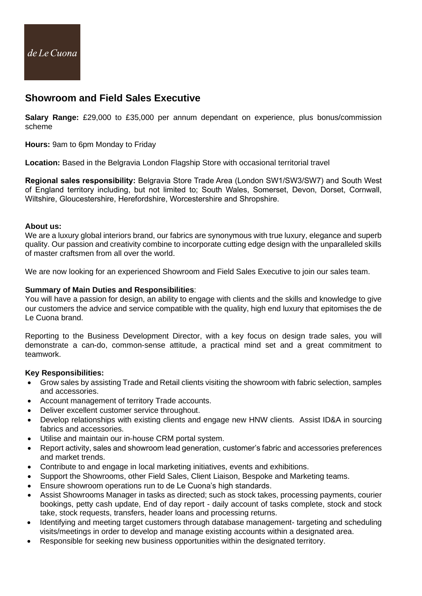## **Showroom and Field Sales Executive**

**Salary Range:** £29,000 to £35,000 per annum dependant on experience, plus bonus/commission scheme

**Hours:** 9am to 6pm Monday to Friday

**Location:** Based in the Belgravia London Flagship Store with occasional territorial travel

**Regional sales responsibility:** Belgravia Store Trade Area (London SW1/SW3/SW7) and South West of England territory including, but not limited to; South Wales, Somerset, Devon, Dorset, Cornwall, Wiltshire, Gloucestershire, Herefordshire, Worcestershire and Shropshire.

### **About us:**

We are a luxury global interiors brand, our fabrics are synonymous with true luxury, elegance and superb quality. Our passion and creativity combine to incorporate cutting edge design with the unparalleled skills of master craftsmen from all over the world.

We are now looking for an experienced Showroom and Field Sales Executive to join our sales team.

### **Summary of Main Duties and Responsibilities**:

You will have a passion for design, an ability to engage with clients and the skills and knowledge to give our customers the advice and service compatible with the quality, high end luxury that epitomises the de Le Cuona brand.

Reporting to the Business Development Director, with a key focus on design trade sales, you will demonstrate a can-do, common-sense attitude, a practical mind set and a great commitment to teamwork.

### **Key Responsibilities:**

- Grow sales by assisting Trade and Retail clients visiting the showroom with fabric selection, samples and accessories.
- Account management of territory Trade accounts.
- Deliver excellent customer service throughout.
- Develop relationships with existing clients and engage new HNW clients. Assist ID&A in sourcing fabrics and accessories.
- Utilise and maintain our in-house CRM portal system.
- Report activity, sales and showroom lead generation, customer's fabric and accessories preferences and market trends.
- Contribute to and engage in local marketing initiatives, events and exhibitions.
- Support the Showrooms, other Field Sales, Client Liaison, Bespoke and Marketing teams.
- Ensure showroom operations run to de Le Cuona's high standards.
- Assist Showrooms Manager in tasks as directed; such as stock takes, processing payments, courier bookings, petty cash update, End of day report - daily account of tasks complete, stock and stock take, stock requests, transfers, header loans and processing returns.
- Identifying and meeting target customers through database management- targeting and scheduling visits/meetings in order to develop and manage existing accounts within a designated area.
- Responsible for seeking new business opportunities within the designated territory.